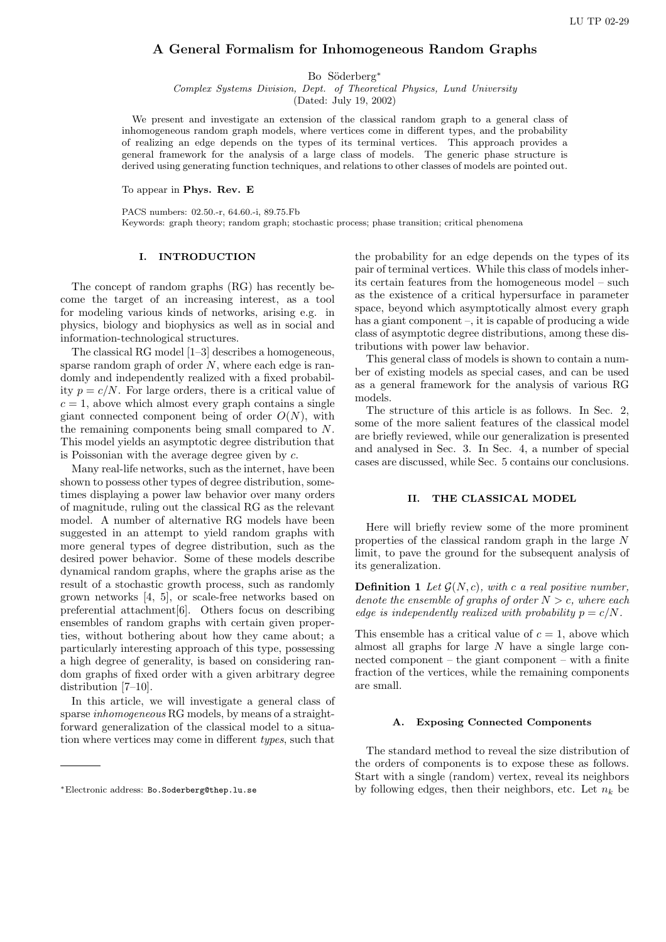# A General Formalism for Inhomogeneous Random Graphs

Bo Söderberg<sup>\*</sup>

Complex Systems Division, Dept. of Theoretical Physics, Lund University

(Dated: July 19, 2002)

We present and investigate an extension of the classical random graph to a general class of inhomogeneous random graph models, where vertices come in different types, and the probability of realizing an edge depends on the types of its terminal vertices. This approach provides a general framework for the analysis of a large class of models. The generic phase structure is derived using generating function techniques, and relations to other classes of models are pointed out.

To appear in Phys. Rev. E

PACS numbers: 02.50.-r, 64.60.-i, 89.75.Fb Keywords: graph theory; random graph; stochastic process; phase transition; critical phenomena

### I. INTRODUCTION

The concept of random graphs (RG) has recently become the target of an increasing interest, as a tool for modeling various kinds of networks, arising e.g. in physics, biology and biophysics as well as in social and information-technological structures.

The classical RG model [1–3] describes a homogeneous, sparse random graph of order  $N$ , where each edge is randomly and independently realized with a fixed probability  $p = c/N$ . For large orders, there is a critical value of  $c = 1$ , above which almost every graph contains a single giant connected component being of order  $O(N)$ , with the remaining components being small compared to N. This model yields an asymptotic degree distribution that is Poissonian with the average degree given by  $c$ .

Many real-life networks, such as the internet, have been shown to possess other types of degree distribution, sometimes displaying a power law behavior over many orders of magnitude, ruling out the classical RG as the relevant model. A number of alternative RG models have been suggested in an attempt to yield random graphs with more general types of degree distribution, such as the desired power behavior. Some of these models describe dynamical random graphs, where the graphs arise as the result of a stochastic growth process, such as randomly grown networks [4, 5], or scale-free networks based on preferential attachment[6]. Others focus on describing ensembles of random graphs with certain given properties, without bothering about how they came about; a particularly interesting approach of this type, possessing a high degree of generality, is based on considering random graphs of fixed order with a given arbitrary degree distribution [7–10].

In this article, we will investigate a general class of sparse inhomogeneous RG models, by means of a straightforward generalization of the classical model to a situation where vertices may come in different types, such that

the probability for an edge depends on the types of its pair of terminal vertices. While this class of models inherits certain features from the homogeneous model – such as the existence of a critical hypersurface in parameter space, beyond which asymptotically almost every graph has a giant component –, it is capable of producing a wide class of asymptotic degree distributions, among these distributions with power law behavior.

This general class of models is shown to contain a number of existing models as special cases, and can be used as a general framework for the analysis of various RG models.

The structure of this article is as follows. In Sec. 2, some of the more salient features of the classical model are briefly reviewed, while our generalization is presented and analysed in Sec. 3. In Sec. 4, a number of special cases are discussed, while Sec. 5 contains our conclusions.

## II. THE CLASSICAL MODEL

Here will briefly review some of the more prominent properties of the classical random graph in the large  $N$ limit, to pave the ground for the subsequent analysis of its generalization.

**Definition 1** Let  $G(N, c)$ , with c a real positive number, denote the ensemble of graphs of order  $N > c$ , where each edge is independently realized with probability  $p = c/N$ .

This ensemble has a critical value of  $c = 1$ , above which almost all graphs for large  $N$  have a single large connected component – the giant component – with a finite fraction of the vertices, while the remaining components are small.

#### A. Exposing Connected Components

The standard method to reveal the size distribution of the orders of components is to expose these as follows. Start with a single (random) vertex, reveal its neighbors by following edges, then their neighbors, etc. Let  $n_k$  be

<sup>∗</sup>Electronic address: Bo.Soderberg@thep.lu.se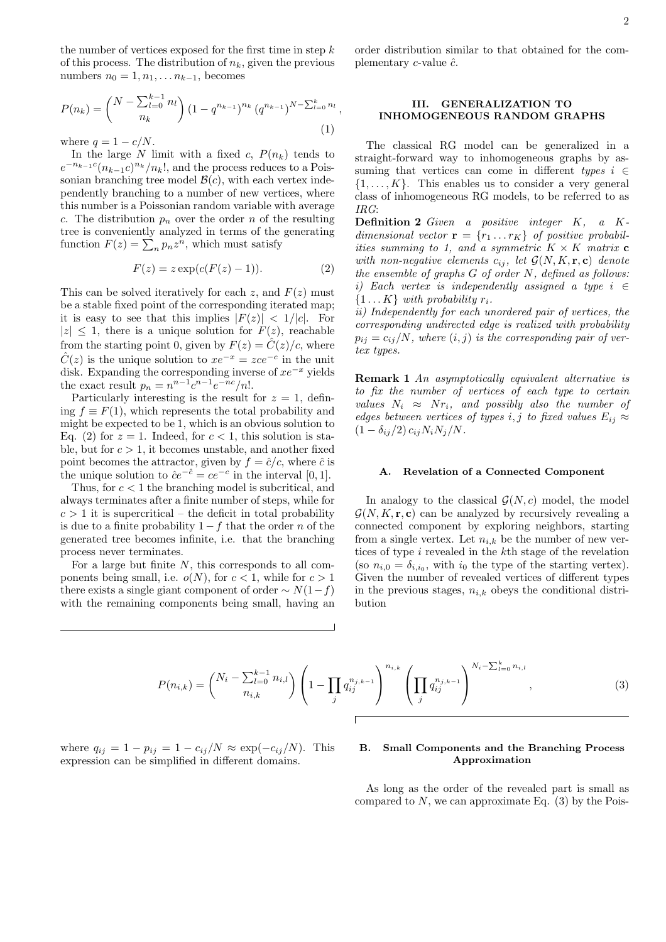the number of vertices exposed for the first time in step  $k$ of this process. The distribution of  $n_k$ , given the previous numbers  $n_0 = 1, n_1, \ldots n_{k-1}$ , becomes

$$
P(n_k) = \binom{N - \sum_{l=0}^{k-1} n_l}{n_k} (1 - q^{n_{k-1}})^{n_k} (q^{n_{k-1}})^{N - \sum_{l=0}^{k} n_l},
$$
\n(1)

where  $q = 1 - c/N$ .

In the large N limit with a fixed c,  $P(n_k)$  tends to  $e^{-n_{k-1}c}(n_{k-1}c)^{n_k}/n_k!$ , and the process reduces to a Poissonian branching tree model  $\mathcal{B}(c)$ , with each vertex independently branching to a number of new vertices, where this number is a Poissonian random variable with average c. The distribution  $p_n$  over the order n of the resulting tree is conveniently analyzed in terms of the generating tree is conveniently analyzed in terms of the<br>function  $F(z) = \sum_n p_n z^n$ , which must satisfy

$$
F(z) = z \exp(c(F(z) - 1)).
$$
\n(2)

This can be solved iteratively for each z, and  $F(z)$  must be a stable fixed point of the corresponding iterated map; it is easy to see that this implies  $|F(z)| < 1/|c|$ . For  $|z| \leq 1$ , there is a unique solution for  $F(z)$ , reachable from the starting point 0, given by  $F(z) = \hat{C}(z)/c$ , where  $\hat{C}(z)$  is the unique solution to  $xe^{-x} = zce^{-c}$  in the unit disk. Expanding the corresponding inverse of  $xe^{-x}$  yields the exact result  $p_n = n^{n-1}c^{n-1}e^{-nc}/n!$ .

Particularly interesting is the result for  $z = 1$ , defining  $f \equiv F(1)$ , which represents the total probability and might be expected to be 1, which is an obvious solution to Eq. (2) for  $z = 1$ . Indeed, for  $c < 1$ , this solution is stable, but for  $c > 1$ , it becomes unstable, and another fixed point becomes the attractor, given by  $f = \hat{c}/c$ , where  $\hat{c}$  is the unique solution to  $\hat{c}e^{-\hat{c}} = ce^{-c}$  in the interval [0, 1].

Thus, for  $c < 1$  the branching model is subcritical, and always terminates after a finite number of steps, while for  $c > 1$  it is supercritical – the deficit in total probability is due to a finite probability  $1-f$  that the order n of the generated tree becomes infinite, i.e. that the branching process never terminates.

For a large but finite  $N$ , this corresponds to all components being small, i.e.  $o(N)$ , for  $c < 1$ , while for  $c > 1$ there exists a single giant component of order  $\sim N(1-f)$ with the remaining components being small, having an order distribution similar to that obtained for the complementary  $c$ -value  $\hat{c}$ .

## III. GENERALIZATION TO INHOMOGENEOUS RANDOM GRAPHS

The classical RG model can be generalized in a straight-forward way to inhomogeneous graphs by assuming that vertices can come in different types  $i \in$  $\{1, \ldots, K\}$ . This enables us to consider a very general class of inhomogeneous RG models, to be referred to as IRG:

**Definition 2** Given a positive integer  $K$ , a  $K$ dimensional vector  $\mathbf{r} = \{r_1 \dots r_K\}$  of positive probabilities summing to 1, and a symmetric  $K \times K$  matrix **c** with non-negative elements  $c_{ij}$ , let  $\mathcal{G}(N, K, \mathbf{r}, \mathbf{c})$  denote the ensemble of graphs G of order N, defined as follows: i) Each vertex is independently assigned a type  $i \in$  $\{1 \dots K\}$  with probability  $r_i$ .

ii) Independently for each unordered pair of vertices, the corresponding undirected edge is realized with probability  $p_{ij} = c_{ij}/N$ , where  $(i, j)$  is the corresponding pair of vertex types.

Remark 1 An asymptotically equivalent alternative is to fix the number of vertices of each type to certain values  $N_i \approx N r_i$ , and possibly also the number of edges between vertices of types i, j to fixed values  $E_{ij} \approx$  $(1 - \delta_{ij}/2) c_{ij} N_i N_j/N$ .

## A. Revelation of a Connected Component

In analogy to the classical  $\mathcal{G}(N,c)$  model, the model  $\mathcal{G}(N, K, r, c)$  can be analyzed by recursively revealing a connected component by exploring neighbors, starting from a single vertex. Let  $n_{i,k}$  be the number of new vertices of type i revealed in the kth stage of the revelation (so  $n_{i,0} = \delta_{i,i_0}$ , with  $i_0$  the type of the starting vertex). Given the number of revealed vertices of different types in the previous stages,  $n_{i,k}$  obeys the conditional distribution

$$
P(n_{i,k}) = \binom{N_i - \sum_{l=0}^{k-1} n_{i,l}}{n_{i,k}} \left(1 - \prod_j q_{ij}^{n_{j,k-1}}\right)^{n_{i,k}} \left(\prod_j q_{ij}^{n_{j,k-1}}\right)^{N_i - \sum_{l=0}^k n_{i,l}},\tag{3}
$$

where  $q_{ij} = 1 - p_{ij} = 1 - c_{ij}/N \approx \exp(-c_{ij}/N)$ . This expression can be simplified in different domains.

## B. Small Components and the Branching Process Approximation

As long as the order of the revealed part is small as compared to  $N$ , we can approximate Eq. (3) by the Pois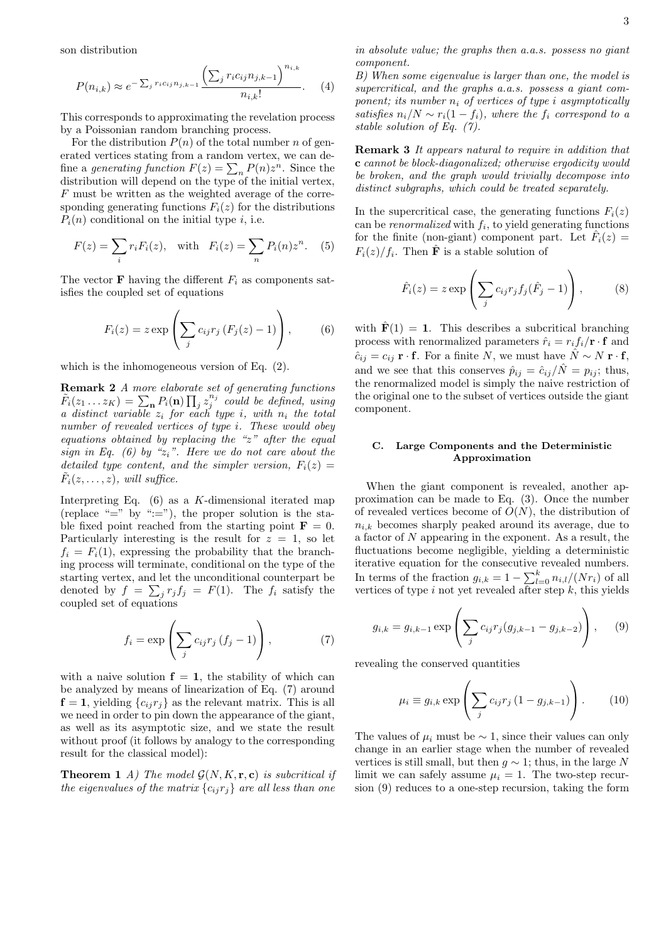son distribution

$$
P(n_{i,k}) \approx e^{-\sum_j r_i c_{ij} n_{j,k-1}} \frac{\left(\sum_j r_i c_{ij} n_{j,k-1}\right)^{n_{i,k}}}{n_{i,k}!}.
$$
 (4)

This corresponds to approximating the revelation process by a Poissonian random branching process.

For the distribution  $P(n)$  of the total number n of generated vertices stating from a random vertex, we can deerated vertices stating from a random vertex, we can de-<br>fine a *generating function*  $F(z) = \sum_n P(n)z^n$ . Since the distribution will depend on the type of the initial vertex, F must be written as the weighted average of the corresponding generating functions  $F_i(z)$  for the distributions  $P_i(n)$  conditional on the initial type i, i.e.

$$
F(z) = \sum_{i} r_i F_i(z)
$$
, with  $F_i(z) = \sum_{n} P_i(n) z^n$ . (5)

The vector **F** having the different  $F_i$  as components satisfies the coupled set of equations

$$
F_i(z) = z \exp\left(\sum_j c_{ij} r_j \left(F_j(z) - 1\right)\right),\tag{6}
$$

which is the inhomogeneous version of Eq. (2).

Remark 2 A more elaborate set of generating functions **Fi** $\tilde{F}_i(z_1 \dots z_K) = \sum_{\mathbf{n}} P_i(\mathbf{n}) \prod_{i=1}^K$  $z_j^{n_j}$  could be defined, using a distinct variable  $z_i$  for each type i, with  $n_i$  the total number of revealed vertices of type i. These would obey equations obtained by replacing the "z" after the equal sign in Eq. (6) by " $z_i$ ". Here we do not care about the detailed type content, and the simpler version,  $F_i(z) =$  $\tilde{F}_i(z, \ldots, z)$ , will suffice.

Interpreting Eq.  $(6)$  as a K-dimensional iterated map (replace "=" by ":="), the proper solution is the stable fixed point reached from the starting point  $\mathbf{F} = 0$ . Particularly interesting is the result for  $z = 1$ , so let  $f_i = F_i(1)$ , expressing the probability that the branching process will terminate, conditional on the type of the starting vertex, and let the unconditional counterpart be denoted by  $f = \sum_j r_j f_j = F(1)$ . The  $f_i$  satisfy the coupled set of equations

$$
f_i = \exp\left(\sum_j c_{ij} r_j (f_j - 1)\right), \tag{7}
$$

with a naive solution  $f = 1$ , the stability of which can be analyzed by means of linearization of Eq. (7) around  $f = 1$ , yielding  $\{c_{ij} r_j\}$  as the relevant matrix. This is all we need in order to pin down the appearance of the giant, as well as its asymptotic size, and we state the result without proof (it follows by analogy to the corresponding result for the classical model):

**Theorem 1** A) The model  $\mathcal{G}(N, K, \mathbf{r}, \mathbf{c})$  is subcritical if the eigenvalues of the matrix  ${c_{ij}}r_j$  are all less than one

in absolute value; the graphs then a.a.s. possess no giant component.

B) When some eigenvalue is larger than one, the model is supercritical, and the graphs a.a.s. possess a giant component; its number  $n_i$  of vertices of type i asymptotically satisfies  $n_i/N \sim r_i(1-f_i)$ , where the  $f_i$  correspond to a stable solution of Eq. (7).

Remark 3 It appears natural to require in addition that c cannot be block-diagonalized; otherwise ergodicity would be broken, and the graph would trivially decompose into distinct subgraphs, which could be treated separately.

In the supercritical case, the generating functions  $F_i(z)$ can be *renormalized* with  $f_i$ , to yield generating functions for the finite (non-giant) component part. Let  $\hat{F}_i(z) =$  $F_i(z)/f_i$ . Then  $\hat{\mathbf{F}}$  is a stable solution of

$$
\hat{F}_i(z) = z \exp\left(\sum_j c_{ij} r_j f_j(\hat{F}_j - 1)\right),\tag{8}
$$

with  $\hat{\mathbf{F}}(1) = 1$ . This describes a subcritical branching process with renormalized parameters  $\hat{r}_i = r_i f_i / \mathbf{r} \cdot \mathbf{f}$  and  $\hat{c}_{ij} = c_{ij} \mathbf{r} \cdot \mathbf{f}$ . For a finite N, we must have  $\hat{N} \sim N \mathbf{r} \cdot \mathbf{f}$ , and we see that this conserves  $\hat{p}_{ij} = \hat{c}_{ij}/\hat{N} = p_{ij}$ ; thus, the renormalized model is simply the naive restriction of the original one to the subset of vertices outside the giant component.

## C. Large Components and the Deterministic Approximation

When the giant component is revealed, another approximation can be made to Eq. (3). Once the number of revealed vertices become of  $O(N)$ , the distribution of  $n_{i,k}$  becomes sharply peaked around its average, due to a factor of N appearing in the exponent. As a result, the fluctuations become negligible, yielding a deterministic iterative equation for the consecutive revealed numbers. In terms of the fraction  $g_{i,k} = 1 - \sum_{l=0}^{k} n_{i,l}/(Nr_i)$  of all vertices of type  $i$  not yet revealed after step  $k$ , this yields

$$
g_{i,k} = g_{i,k-1} \exp\left(\sum_j c_{ij} r_j (g_{j,k-1} - g_{j,k-2})\right), \quad (9)
$$

revealing the conserved quantities

$$
\mu_i \equiv g_{i,k} \exp \left( \sum_j c_{ij} r_j (1 - g_{j,k-1}) \right).
$$
\n(10)

The values of  $\mu_i$  must be  $\sim$  1, since their values can only change in an earlier stage when the number of revealed vertices is still small, but then  $g \sim 1$ ; thus, in the large N limit we can safely assume  $\mu_i = 1$ . The two-step recursion (9) reduces to a one-step recursion, taking the form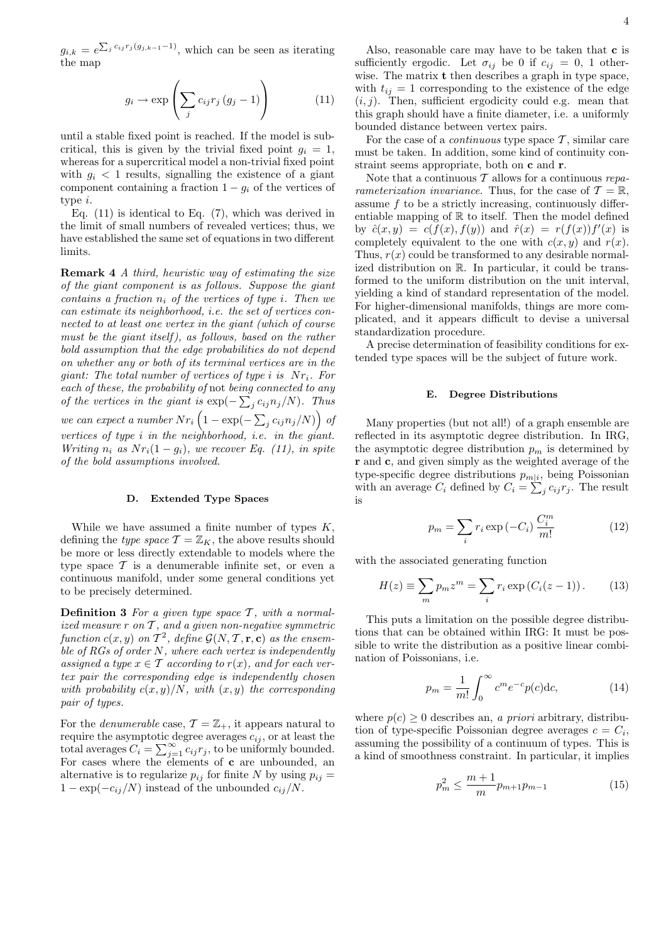$g_{i,k} = e^{\sum_j c_{ij}r_j(g_{j,k-1}-1)}$ , which can be seen as iterating the map

$$
g_i \to \exp\left(\sum_j c_{ij} r_j (g_j - 1)\right) \tag{11}
$$

until a stable fixed point is reached. If the model is subcritical, this is given by the trivial fixed point  $g_i = 1$ , whereas for a supercritical model a non-trivial fixed point with  $g_i < 1$  results, signalling the existence of a giant component containing a fraction  $1 - g_i$  of the vertices of type i.

Eq.  $(11)$  is identical to Eq.  $(7)$ , which was derived in the limit of small numbers of revealed vertices; thus, we have established the same set of equations in two different limits.

Remark 4 A third, heuristic way of estimating the size of the giant component is as follows. Suppose the giant contains a fraction  $n_i$  of the vertices of type i. Then we can estimate its neighborhood, i.e. the set of vertices connected to at least one vertex in the giant (which of course must be the giant itself), as follows, based on the rather bold assumption that the edge probabilities do not depend on whether any or both of its terminal vertices are in the giant: The total number of vertices of type i is  $Nr_i$ . For each of these, the probability of not being connected to any of the vertices in the giant is  $\exp(-\sum_j c_{ij} n_j/N)$ . Thus we can expect a number  $Nr_i$   $\left(1 - \exp(-\sum)\right)$  $\int_j c_{ij} n_j/N)$  of vertices of type  $i$  in the neighborhood, i.e. in the giant. Writing  $n_i$  as  $Nr_i(1-q_i)$ , we recover Eq. (11), in spite of the bold assumptions involved.

## D. Extended Type Spaces

While we have assumed a finite number of types  $K$ , defining the type space  $\mathcal{T} = \mathbb{Z}_K$ , the above results should be more or less directly extendable to models where the type space  $\mathcal T$  is a denumerable infinite set, or even a continuous manifold, under some general conditions yet to be precisely determined.

**Definition 3** For a given type space  $\mathcal{T}$ , with a normalized measure  $r$  on  $\mathcal T$ , and a given non-negative symmetric function  $c(x, y)$  on  $T^2$ , define  $\mathcal{G}(N, \mathcal{T}, \mathbf{r}, \mathbf{c})$  as the ensemble of  $RGs$  of order  $N$ , where each vertex is independently assigned a type  $x \in \mathcal{T}$  according to  $r(x)$ , and for each vertex pair the corresponding edge is independently chosen with probability  $c(x, y)/N$ , with  $(x, y)$  the corresponding pair of types.

For the *denumerable* case,  $\mathcal{T} = \mathbb{Z}_+$ , it appears natural to require the asymptotic degree averages  $c_{ij}$ , or at least the total averages  $C \nightharpoonup \nightharpoonup^{\infty}$ total averages  $C_i = \sum_{j=1}^{\infty} c_{ij} r_j$ , to be uniformly bounded. For cases where the elements of c are unbounded, an alternative is to regularize  $p_{ij}$  for finite N by using  $p_{ij} =$  $1 - \exp(-c_{ij}/N)$  instead of the unbounded  $c_{ij}/N$ .

Also, reasonable care may have to be taken that  $c$  is sufficiently ergodic. Let  $\sigma_{ij}$  be 0 if  $c_{ij} = 0$ , 1 otherwise. The matrix t then describes a graph in type space, with  $t_{ij} = 1$  corresponding to the existence of the edge  $(i, j)$ . Then, sufficient ergodicity could e.g. mean that this graph should have a finite diameter, i.e. a uniformly bounded distance between vertex pairs.

For the case of a *continuous* type space  $\mathcal{T}$ , similar care must be taken. In addition, some kind of continuity constraint seems appropriate, both on c and r.

Note that a continuous  $\mathcal T$  allows for a continuous reparameterization invariance. Thus, for the case of  $\mathcal{T} = \mathbb{R}$ , assume f to be a strictly increasing, continuously differentiable mapping of  $\mathbb R$  to itself. Then the model defined by  $\hat{c}(x,y) = c(f(x), f(y))$  and  $\hat{r}(x) = r(f(x))f'(x)$  is completely equivalent to the one with  $c(x, y)$  and  $r(x)$ . Thus,  $r(x)$  could be transformed to any desirable normalized distribution on R. In particular, it could be transformed to the uniform distribution on the unit interval, yielding a kind of standard representation of the model. For higher-dimensional manifolds, things are more complicated, and it appears difficult to devise a universal standardization procedure.

A precise determination of feasibility conditions for extended type spaces will be the subject of future work.

#### E. Degree Distributions

Many properties (but not all!) of a graph ensemble are reflected in its asymptotic degree distribution. In IRG, the asymptotic degree distribution  $p_m$  is determined by r and c, and given simply as the weighted average of the type-specific degree distributions  $p_{m|i}$ , being Poissonian with an average  $C_i$  defined by  $C_i = \sum_j c_{ij} r_j$ . The result is

$$
p_m = \sum_i r_i \exp(-C_i) \frac{C_i^m}{m!} \tag{12}
$$

with the associated generating function

$$
H(z) \equiv \sum_{m} p_m z^m = \sum_{i} r_i \exp\left(C_i(z-1)\right). \tag{13}
$$

This puts a limitation on the possible degree distributions that can be obtained within IRG: It must be possible to write the distribution as a positive linear combination of Poissonians, i.e.

$$
p_m = \frac{1}{m!} \int_0^\infty c^m e^{-c} p(c) \mathrm{d}c,\tag{14}
$$

where  $p(c) \geq 0$  describes an, a priori arbitrary, distribution of type-specific Poissonian degree averages  $c = C_i$ , assuming the possibility of a continuum of types. This is a kind of smoothness constraint. In particular, it implies

$$
p_m^2 \le \frac{m+1}{m} p_{m+1} p_{m-1} \tag{15}
$$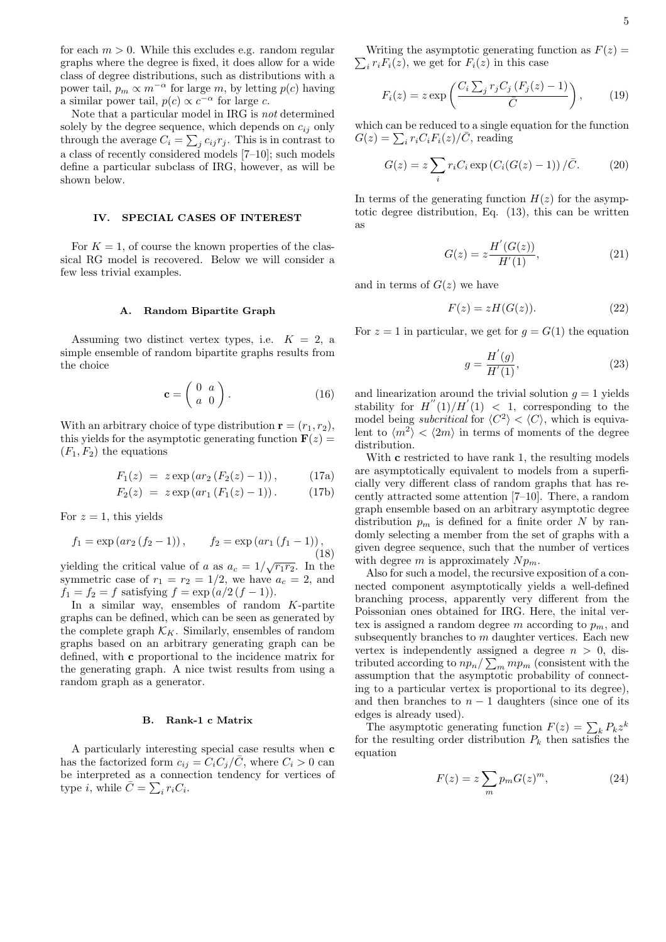for each  $m > 0$ . While this excludes e.g. random regular graphs where the degree is fixed, it does allow for a wide class of degree distributions, such as distributions with a power tail,  $p_m \propto m^{-\alpha}$  for large m, by letting  $p(c)$  having a similar power tail,  $p(c) \propto c^{-\alpha}$  for large c.

Note that a particular model in IRG is not determined solely by the degree sequence, which depends on  $c_{ij}$  only through the average  $C_i = \sum_j c_{ij} r_j$ . This is in contrast to a class of recently considered models [7–10]; such models define a particular subclass of IRG, however, as will be shown below.

## IV. SPECIAL CASES OF INTEREST

For  $K = 1$ , of course the known properties of the classical RG model is recovered. Below we will consider a few less trivial examples.

## A. Random Bipartite Graph

Assuming two distinct vertex types, i.e.  $K = 2$ , a simple ensemble of random bipartite graphs results from the choice

$$
\mathbf{c} = \left(\begin{array}{cc} 0 & a \\ a & 0 \end{array}\right). \tag{16}
$$

With an arbitrary choice of type distribution  $\mathbf{r} = (r_1, r_2)$ , this yields for the asymptotic generating function  $F(z) =$  $(F_1, F_2)$  the equations

$$
F_1(z) = z \exp(ar_2(F_2(z) - 1)), \qquad (17a)
$$

$$
F_2(z) = z \exp(ar_1 (F_1(z) - 1)). \tag{17b}
$$

For  $z = 1$ , this yields

$$
f_1 = \exp\left(ar_2\left(f_2 - 1\right)\right), \qquad f_2 = \exp\left(ar_1\left(f_1 - 1\right)\right),\tag{18}
$$

yielding the critical value of a as  $a_c = 1/\sqrt{r_1 r_2}$ . In the symmetric case of  $r_1 = r_2 = 1/2$ , we have  $a_c = 2$ , and  $f_1 = f_2 = f$  satisfying  $f = \exp(a/2 (f - 1)).$ 

In a similar way, ensembles of random K-partite graphs can be defined, which can be seen as generated by the complete graph  $\mathcal{K}_K$ . Similarly, ensembles of random graphs based on an arbitrary generating graph can be defined, with c proportional to the incidence matrix for the generating graph. A nice twist results from using a random graph as a generator.

#### B. Rank-1 c Matrix

A particularly interesting special case results when c has the factorized form  $c_{ij} = C_i C_j / C$ , where  $C_i > 0$  can be interpreted as a connection tendency for vertices of type *i*, while  $\bar{C} = \sum_i r_i C_i$ .

 $\overline{ }$ Writing the asymptotic generating function as  $F(z) =$  $i_i r_i F_i(z)$ , we get for  $F_i(z)$  in this case

$$
F_i(z) = z \exp\left(\frac{C_i \sum_j r_j C_j (F_j(z) - 1)}{\bar{C}}\right),\qquad(19)
$$

which can be reduced to a single equation for the function which can be reduced to a single of  $G(z) = \sum_i r_i C_i F_i(z) / \bar{C}$ , reading

$$
G(z) = z \sum_{i} r_i C_i \exp\left(C_i (G(z) - 1)\right) / \bar{C}.
$$
 (20)

In terms of the generating function  $H(z)$  for the asymptotic degree distribution, Eq. (13), this can be written as

$$
G(z) = z \frac{H^{'}(G(z))}{H^{'}(1)},
$$
\n(21)

and in terms of  $G(z)$  we have

$$
F(z) = zH(G(z)).
$$
\n(22)

For  $z = 1$  in particular, we get for  $g = G(1)$  the equation

$$
g = \frac{H^{'}(g)}{H'(1)},
$$
\n(23)

and linearization around the trivial solution  $q = 1$  yields stability for  $H''(1)/H'(1) < 1$ , corresponding to the model being *subcritical* for  $\langle C^2 \rangle < \langle C \rangle$ , which is equivalent to  $\langle m^2 \rangle < \langle 2m \rangle$  in terms of moments of the degree distribution.

With **c** restricted to have rank 1, the resulting models are asymptotically equivalent to models from a superficially very different class of random graphs that has recently attracted some attention [7–10]. There, a random graph ensemble based on an arbitrary asymptotic degree distribution  $p_m$  is defined for a finite order N by randomly selecting a member from the set of graphs with a given degree sequence, such that the number of vertices with degree m is approximately  $N p_m$ .

Also for such a model, the recursive exposition of a connected component asymptotically yields a well-defined branching process, apparently very different from the Poissonian ones obtained for IRG. Here, the inital vertex is assigned a random degree m according to  $p_m$ , and subsequently branches to m daughter vertices. Each new vertex is independently assigned a degree  $n > 0$ , distributed according to  $np_n / \sum_m mp_m$  (consistent with the assumption that the asymptotic probability of connecting to a particular vertex is proportional to its degree), and then branches to  $n-1$  daughters (since one of its edges is already used).

ges is already used).<br>The asymptotic generating function  $F(z) = \sum_{k} P_k z^k$ for the resulting order distribution  $P_k$  then satisfies the equation

$$
F(z) = z \sum_{m} p_m G(z)^m,
$$
\n(24)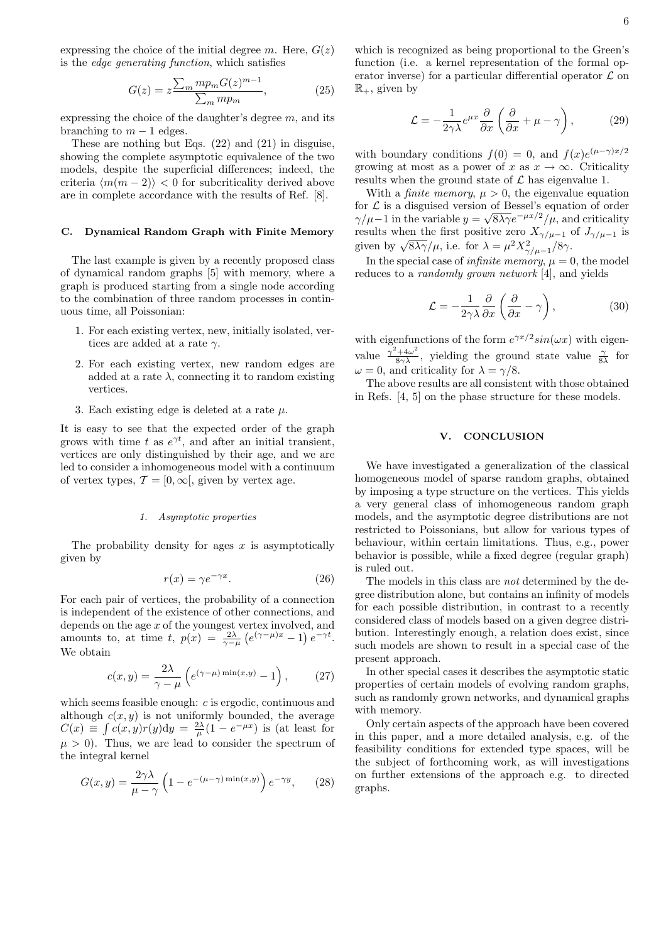expressing the choice of the initial degree m. Here,  $G(z)$ is the edge generating function, which satisfies

$$
G(z) = z \frac{\sum_{m} m p_m G(z)^{m-1}}{\sum_{m} m p_m},
$$
\n(25)

expressing the choice of the daughter's degree  $m$ , and its branching to  $m - 1$  edges.

These are nothing but Eqs. (22) and (21) in disguise, showing the complete asymptotic equivalence of the two models, despite the superficial differences; indeed, the criteria  $\langle m(m - 2) \rangle < 0$  for subcriticality derived above are in complete accordance with the results of Ref. [8].

#### C. Dynamical Random Graph with Finite Memory

The last example is given by a recently proposed class of dynamical random graphs [5] with memory, where a graph is produced starting from a single node according to the combination of three random processes in continuous time, all Poissonian:

- 1. For each existing vertex, new, initially isolated, vertices are added at a rate  $\gamma$ .
- 2. For each existing vertex, new random edges are added at a rate  $\lambda$ , connecting it to random existing vertices.
- 3. Each existing edge is deleted at a rate  $\mu$ .

It is easy to see that the expected order of the graph grows with time t as  $e^{\gamma t}$ , and after an initial transient, vertices are only distinguished by their age, and we are led to consider a inhomogeneous model with a continuum of vertex types,  $\mathcal{T} = [0, \infty)$ , given by vertex age.

#### 1. Asymptotic properties

The probability density for ages  $x$  is asymptotically given by

$$
r(x) = \gamma e^{-\gamma x}.\tag{26}
$$

For each pair of vertices, the probability of a connection is independent of the existence of other connections, and depends on the age  $x$  of the youngest vertex involved, and amounts to, at time t,  $p(x) = \frac{2\lambda}{\gamma - \mu}$ ¡ rtex involved<br>  $e^{(\gamma-\mu)x}-1)$  $e^{-\gamma t}$ . We obtain

$$
c(x,y) = \frac{2\lambda}{\gamma - \mu} \left( e^{(\gamma - \mu)\min(x,y)} - 1 \right), \quad (27)
$$

which seems feasible enough: c is ergodic, continuous and although  $c(x, y)$  is not uniformly bounded, the average  $C(x) \equiv \int c(x,y)r(y)dy = \frac{2\lambda}{\mu}(1 - e^{-\mu x})$  is (at least for  $\mu > 0$ ). Thus, we are lead to consider the spectrum of the integral kernel

$$
G(x,y) = \frac{2\gamma\lambda}{\mu - \gamma} \left(1 - e^{-(\mu - \gamma)\min(x,y)}\right) e^{-\gamma y}, \qquad (28)
$$

which is recognized as being proportional to the Green's function (i.e. a kernel representation of the formal operator inverse) for a particular differential operator  $\mathcal L$  on  $\mathbb{R}_+$ , given by

$$
\mathcal{L} = -\frac{1}{2\gamma\lambda} e^{\mu x} \frac{\partial}{\partial x} \left( \frac{\partial}{\partial x} + \mu - \gamma \right), \tag{29}
$$

with boundary conditions  $f(0) = 0$ , and  $f(x)e^{(\mu-\gamma)x/2}$ growing at most as a power of x as  $x \to \infty$ . Criticality results when the ground state of  $\mathcal L$  has eigenvalue 1.

With a *finite memory*,  $\mu > 0$ , the eigenvalue equation for  $\mathcal L$  is a disguised version of Bessel's equation of order for L is a disguised version of Bessel's equation of order  $\gamma/\mu-1$  in the variable  $y = \sqrt{8\lambda\gamma}e^{-\mu x/2}/\mu$ , and criticality results when the first positive zero  $X_{\gamma/\mu-1}$  of  $J_{\gamma/\mu-1}$  is given by  $\sqrt{8\lambda\gamma}/\mu$ , i.e. for  $\lambda = \mu^2 X_{\gamma/\mu-1}^2/\sqrt{8\gamma}$ .

In the special case of *infinite memory*,  $\mu = 0$ , the model reduces to a randomly grown network [4], and yields

$$
\mathcal{L} = -\frac{1}{2\gamma\lambda} \frac{\partial}{\partial x} \left( \frac{\partial}{\partial x} - \gamma \right),\tag{30}
$$

with eigenfunctions of the form  $e^{\gamma x/2} \sin(\omega x)$  with eigenvalue  $\frac{\gamma^2 + 4\omega^2}{8\gamma\lambda}$ , yielding the ground state value  $\frac{\gamma}{8\lambda}$  for  $\omega = 0$ , and criticality for  $\lambda = \gamma/8$ .

The above results are all consistent with those obtained in Refs. [4, 5] on the phase structure for these models.

## V. CONCLUSION

We have investigated a generalization of the classical homogeneous model of sparse random graphs, obtained by imposing a type structure on the vertices. This yields a very general class of inhomogeneous random graph models, and the asymptotic degree distributions are not restricted to Poissonians, but allow for various types of behaviour, within certain limitations. Thus, e.g., power behavior is possible, while a fixed degree (regular graph) is ruled out.

The models in this class are not determined by the degree distribution alone, but contains an infinity of models for each possible distribution, in contrast to a recently considered class of models based on a given degree distribution. Interestingly enough, a relation does exist, since such models are shown to result in a special case of the present approach.

In other special cases it describes the asymptotic static properties of certain models of evolving random graphs, such as randomly grown networks, and dynamical graphs with memory.

Only certain aspects of the approach have been covered in this paper, and a more detailed analysis, e.g. of the feasibility conditions for extended type spaces, will be the subject of forthcoming work, as will investigations on further extensions of the approach e.g. to directed graphs.